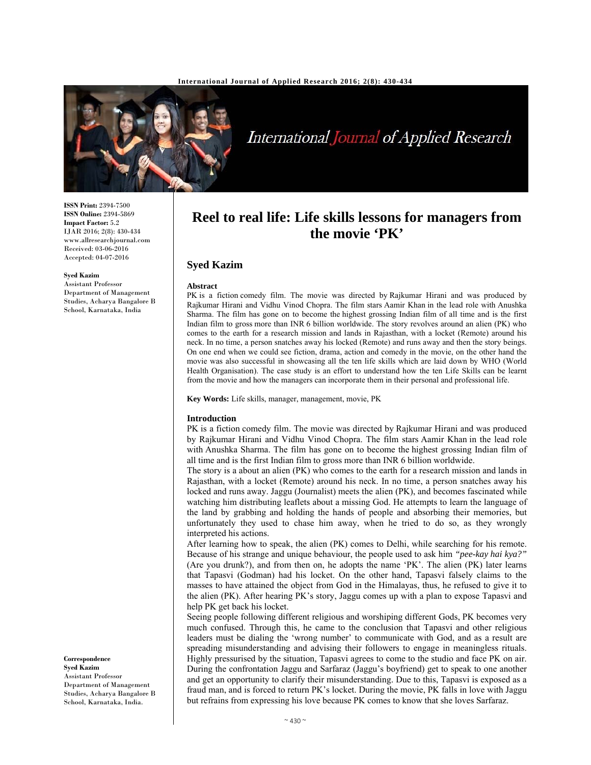

International Journal of Applied Research

**ISSN Print:** 2394-7500 **ISSN Online:** 2394-5869 **Impact Factor:** 5.2 IJAR 2016; 2(8): 430-434 www.allresearchjournal.com Received: 03-06-2016 Accepted: 04-07-2016

#### **Syed Kazim**

Assistant Professor Department of Management Studies, Acharya Bangalore B School, Karnataka, India

# **Syed Kazim**

### **Abstract**

PK is a fiction comedy film. The movie was directed by Rajkumar Hirani and was produced by Rajkumar Hirani and Vidhu Vinod Chopra. The film stars Aamir Khan in the lead role with Anushka Sharma. The film has gone on to become the highest grossing Indian film of all time and is the first Indian film to gross more than INR 6 billion worldwide. The story revolves around an alien (PK) who comes to the earth for a research mission and lands in Rajasthan, with a locket (Remote) around his neck. In no time, a person snatches away his locked (Remote) and runs away and then the story beings. On one end when we could see fiction, drama, action and comedy in the movie, on the other hand the movie was also successful in showcasing all the ten life skills which are laid down by WHO (World Health Organisation). The case study is an effort to understand how the ten Life Skills can be learnt from the movie and how the managers can incorporate them in their personal and professional life.

**Reel to real life: Life skills lessons for managers from the movie 'PK'** 

**Key Words:** Life skills, manager, management, movie, PK

#### **Introduction**

PK is a fiction comedy film. The movie was directed by Rajkumar Hirani and was produced by Rajkumar Hirani and Vidhu Vinod Chopra. The film stars Aamir Khan in the lead role with Anushka Sharma. The film has gone on to become the highest grossing Indian film of all time and is the first Indian film to gross more than INR 6 billion worldwide.

The story is a about an alien (PK) who comes to the earth for a research mission and lands in Rajasthan, with a locket (Remote) around his neck. In no time, a person snatches away his locked and runs away. Jaggu (Journalist) meets the alien (PK), and becomes fascinated while watching him distributing leaflets about a missing God. He attempts to learn the language of the land by grabbing and holding the hands of people and absorbing their memories, but unfortunately they used to chase him away, when he tried to do so, as they wrongly interpreted his actions.

After learning how to speak, the alien (PK) comes to Delhi, while searching for his remote. Because of his strange and unique behaviour, the people used to ask him *"pee-kay hai kya?"* (Are you drunk?), and from then on, he adopts the name 'PK'. The alien (PK) later learns that Tapasvi (Godman) had his locket. On the other hand, Tapasvi falsely claims to the masses to have attained the object from God in the Himalayas, thus, he refused to give it to the alien (PK). After hearing PK's story, Jaggu comes up with a plan to expose Tapasvi and help PK get back his locket.

Seeing people following different religious and worshiping different Gods, PK becomes very much confused. Through this, he came to the conclusion that Tapasvi and other religious leaders must be dialing the 'wrong number' to communicate with God, and as a result are spreading misunderstanding and advising their followers to engage in meaningless rituals. Highly pressurised by the situation, Tapasvi agrees to come to the studio and face PK on air. During the confrontation Jaggu and Sarfaraz (Jaggu's boyfriend) get to speak to one another and get an opportunity to clarify their misunderstanding. Due to this, Tapasvi is exposed as a fraud man, and is forced to return PK's locket. During the movie, PK falls in love with Jaggu but refrains from expressing his love because PK comes to know that she loves Sarfaraz.

## **Correspondence**

**Syed Kazim**  Assistant Professor Department of Management Studies, Acharya Bangalore B School, Karnataka, India.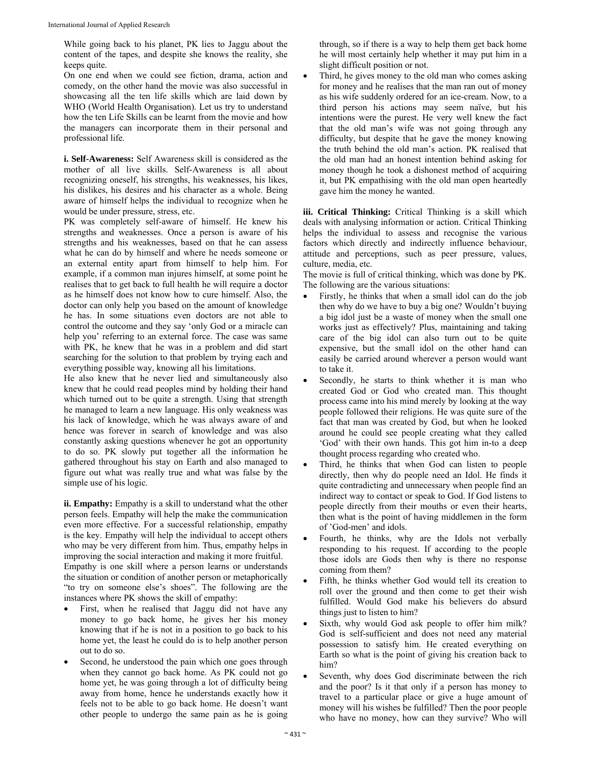While going back to his planet, PK lies to Jaggu about the content of the tapes, and despite she knows the reality, she keeps quite.

On one end when we could see fiction, drama, action and comedy, on the other hand the movie was also successful in showcasing all the ten life skills which are laid down by WHO (World Health Organisation). Let us try to understand how the ten Life Skills can be learnt from the movie and how the managers can incorporate them in their personal and professional life.

**i. Self-Awareness:** Self Awareness skill is considered as the mother of all live skills. Self-Awareness is all about recognizing oneself, his strengths, his weaknesses, his likes, his dislikes, his desires and his character as a whole. Being aware of himself helps the individual to recognize when he would be under pressure, stress, etc.

PK was completely self-aware of himself. He knew his strengths and weaknesses. Once a person is aware of his strengths and his weaknesses, based on that he can assess what he can do by himself and where he needs someone or an external entity apart from himself to help him. For example, if a common man injures himself, at some point he realises that to get back to full health he will require a doctor as he himself does not know how to cure himself. Also, the doctor can only help you based on the amount of knowledge he has. In some situations even doctors are not able to control the outcome and they say 'only God or a miracle can help you' referring to an external force. The case was same with PK, he knew that he was in a problem and did start searching for the solution to that problem by trying each and everything possible way, knowing all his limitations.

He also knew that he never lied and simultaneously also knew that he could read peoples mind by holding their hand which turned out to be quite a strength. Using that strength he managed to learn a new language. His only weakness was his lack of knowledge, which he was always aware of and hence was forever in search of knowledge and was also constantly asking questions whenever he got an opportunity to do so. PK slowly put together all the information he gathered throughout his stay on Earth and also managed to figure out what was really true and what was false by the simple use of his logic.

**ii. Empathy:** Empathy is a skill to understand what the other person feels. Empathy will help the make the communication even more effective. For a successful relationship, empathy is the key. Empathy will help the individual to accept others who may be very different from him. Thus, empathy helps in improving the social interaction and making it more fruitful. Empathy is one skill where a person learns or understands the situation or condition of another person or metaphorically "to try on someone else's shoes". The following are the instances where PK shows the skill of empathy:

- First, when he realised that Jaggu did not have any money to go back home, he gives her his money knowing that if he is not in a position to go back to his home yet, the least he could do is to help another person out to do so.
- Second, he understood the pain which one goes through when they cannot go back home. As PK could not go home yet, he was going through a lot of difficulty being away from home, hence he understands exactly how it feels not to be able to go back home. He doesn't want other people to undergo the same pain as he is going

through, so if there is a way to help them get back home he will most certainly help whether it may put him in a slight difficult position or not.

 Third, he gives money to the old man who comes asking for money and he realises that the man ran out of money as his wife suddenly ordered for an ice-cream. Now, to a third person his actions may seem naïve, but his intentions were the purest. He very well knew the fact that the old man's wife was not going through any difficulty, but despite that he gave the money knowing the truth behind the old man's action. PK realised that the old man had an honest intention behind asking for money though he took a dishonest method of acquiring it, but PK empathising with the old man open heartedly gave him the money he wanted.

**iii. Critical Thinking:** Critical Thinking is a skill which deals with analysing information or action. Critical Thinking helps the individual to assess and recognise the various factors which directly and indirectly influence behaviour, attitude and perceptions, such as peer pressure, values, culture, media, etc.

The movie is full of critical thinking, which was done by PK. The following are the various situations:

- Firstly, he thinks that when a small idol can do the job then why do we have to buy a big one? Wouldn't buying a big idol just be a waste of money when the small one works just as effectively? Plus, maintaining and taking care of the big idol can also turn out to be quite expensive, but the small idol on the other hand can easily be carried around wherever a person would want to take it.
- Secondly, he starts to think whether it is man who created God or God who created man. This thought process came into his mind merely by looking at the way people followed their religions. He was quite sure of the fact that man was created by God, but when he looked around he could see people creating what they called 'God' with their own hands. This got him in-to a deep thought process regarding who created who.
- Third, he thinks that when God can listen to people directly, then why do people need an Idol. He finds it quite contradicting and unnecessary when people find an indirect way to contact or speak to God. If God listens to people directly from their mouths or even their hearts, then what is the point of having middlemen in the form of 'God-men' and idols.
- Fourth, he thinks, why are the Idols not verbally responding to his request. If according to the people those idols are Gods then why is there no response coming from them?
- Fifth, he thinks whether God would tell its creation to roll over the ground and then come to get their wish fulfilled. Would God make his believers do absurd things just to listen to him?
- Sixth, why would God ask people to offer him milk? God is self-sufficient and does not need any material possession to satisfy him. He created everything on Earth so what is the point of giving his creation back to him?
- Seventh, why does God discriminate between the rich and the poor? Is it that only if a person has money to travel to a particular place or give a huge amount of money will his wishes be fulfilled? Then the poor people who have no money, how can they survive? Who will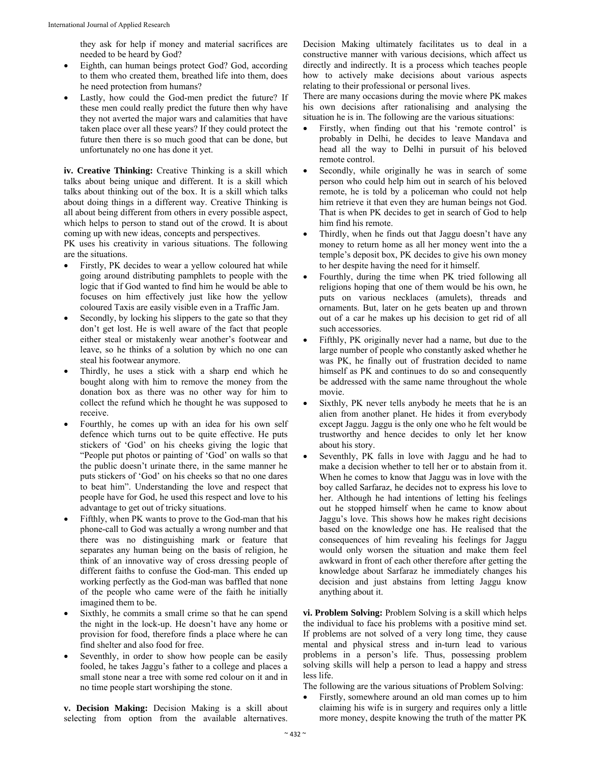they ask for help if money and material sacrifices are needed to be heard by God?

- Eighth, can human beings protect God? God, according to them who created them, breathed life into them, does he need protection from humans?
- Lastly, how could the God-men predict the future? If these men could really predict the future then why have they not averted the major wars and calamities that have taken place over all these years? If they could protect the future then there is so much good that can be done, but unfortunately no one has done it yet.

**iv. Creative Thinking:** Creative Thinking is a skill which talks about being unique and different. It is a skill which talks about thinking out of the box. It is a skill which talks about doing things in a different way. Creative Thinking is all about being different from others in every possible aspect, which helps to person to stand out of the crowd. It is about coming up with new ideas, concepts and perspectives.

PK uses his creativity in various situations. The following are the situations.

- Firstly, PK decides to wear a yellow coloured hat while going around distributing pamphlets to people with the logic that if God wanted to find him he would be able to focuses on him effectively just like how the yellow coloured Taxis are easily visible even in a Traffic Jam.
- Secondly, by locking his slippers to the gate so that they don't get lost. He is well aware of the fact that people either steal or mistakenly wear another's footwear and leave, so he thinks of a solution by which no one can steal his footwear anymore.
- Thirdly, he uses a stick with a sharp end which he bought along with him to remove the money from the donation box as there was no other way for him to collect the refund which he thought he was supposed to receive.
- Fourthly, he comes up with an idea for his own self defence which turns out to be quite effective. He puts stickers of 'God' on his cheeks giving the logic that "People put photos or painting of 'God' on walls so that the public doesn't urinate there, in the same manner he puts stickers of 'God' on his cheeks so that no one dares to beat him". Understanding the love and respect that people have for God, he used this respect and love to his advantage to get out of tricky situations.
- Fifthly, when PK wants to prove to the God-man that his phone-call to God was actually a wrong number and that there was no distinguishing mark or feature that separates any human being on the basis of religion, he think of an innovative way of cross dressing people of different faiths to confuse the God-man. This ended up working perfectly as the God-man was baffled that none of the people who came were of the faith he initially imagined them to be.
- Sixthly, he commits a small crime so that he can spend the night in the lock-up. He doesn't have any home or provision for food, therefore finds a place where he can find shelter and also food for free.
- Seventhly, in order to show how people can be easily fooled, he takes Jaggu's father to a college and places a small stone near a tree with some red colour on it and in no time people start worshiping the stone.

**v. Decision Making:** Decision Making is a skill about selecting from option from the available alternatives.

Decision Making ultimately facilitates us to deal in a constructive manner with various decisions, which affect us directly and indirectly. It is a process which teaches people how to actively make decisions about various aspects relating to their professional or personal lives.

There are many occasions during the movie where PK makes his own decisions after rationalising and analysing the situation he is in. The following are the various situations:

- Firstly, when finding out that his 'remote control' is probably in Delhi, he decides to leave Mandava and head all the way to Delhi in pursuit of his beloved remote control.
- Secondly, while originally he was in search of some person who could help him out in search of his beloved remote, he is told by a policeman who could not help him retrieve it that even they are human beings not God. That is when PK decides to get in search of God to help him find his remote.
- Thirdly, when he finds out that Jaggu doesn't have any money to return home as all her money went into the a temple's deposit box, PK decides to give his own money to her despite having the need for it himself.
- Fourthly, during the time when PK tried following all religions hoping that one of them would be his own, he puts on various necklaces (amulets), threads and ornaments. But, later on he gets beaten up and thrown out of a car he makes up his decision to get rid of all such accessories.
- Fifthly, PK originally never had a name, but due to the large number of people who constantly asked whether he was PK, he finally out of frustration decided to name himself as PK and continues to do so and consequently be addressed with the same name throughout the whole movie.
- Sixthly, PK never tells anybody he meets that he is an alien from another planet. He hides it from everybody except Jaggu. Jaggu is the only one who he felt would be trustworthy and hence decides to only let her know about his story.
- Seventhly, PK falls in love with Jaggu and he had to make a decision whether to tell her or to abstain from it. When he comes to know that Jaggu was in love with the boy called Sarfaraz, he decides not to express his love to her. Although he had intentions of letting his feelings out he stopped himself when he came to know about Jaggu's love. This shows how he makes right decisions based on the knowledge one has. He realised that the consequences of him revealing his feelings for Jaggu would only worsen the situation and make them feel awkward in front of each other therefore after getting the knowledge about Sarfaraz he immediately changes his decision and just abstains from letting Jaggu know anything about it.

**vi. Problem Solving:** Problem Solving is a skill which helps the individual to face his problems with a positive mind set. If problems are not solved of a very long time, they cause mental and physical stress and in-turn lead to various problems in a person's life. Thus, possessing problem solving skills will help a person to lead a happy and stress less life.

The following are the various situations of Problem Solving:

 Firstly, somewhere around an old man comes up to him claiming his wife is in surgery and requires only a little more money, despite knowing the truth of the matter PK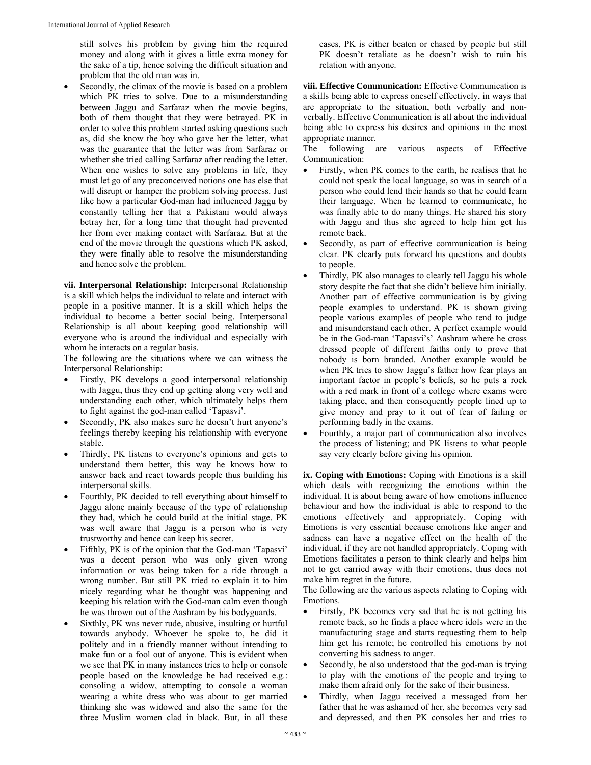still solves his problem by giving him the required money and along with it gives a little extra money for the sake of a tip, hence solving the difficult situation and problem that the old man was in.

 Secondly, the climax of the movie is based on a problem which PK tries to solve. Due to a misunderstanding between Jaggu and Sarfaraz when the movie begins, both of them thought that they were betrayed. PK in order to solve this problem started asking questions such as, did she know the boy who gave her the letter, what was the guarantee that the letter was from Sarfaraz or whether she tried calling Sarfaraz after reading the letter. When one wishes to solve any problems in life, they must let go of any preconceived notions one has else that will disrupt or hamper the problem solving process. Just like how a particular God-man had influenced Jaggu by constantly telling her that a Pakistani would always betray her, for a long time that thought had prevented her from ever making contact with Sarfaraz. But at the end of the movie through the questions which PK asked, they were finally able to resolve the misunderstanding and hence solve the problem.

**vii. Interpersonal Relationship:** Interpersonal Relationship is a skill which helps the individual to relate and interact with people in a positive manner. It is a skill which helps the individual to become a better social being. Interpersonal Relationship is all about keeping good relationship will everyone who is around the individual and especially with whom he interacts on a regular basis.

The following are the situations where we can witness the Interpersonal Relationship:

- Firstly, PK develops a good interpersonal relationship with Jaggu, thus they end up getting along very well and understanding each other, which ultimately helps them to fight against the god-man called 'Tapasvi'.
- Secondly, PK also makes sure he doesn't hurt anyone's feelings thereby keeping his relationship with everyone stable.
- Thirdly, PK listens to everyone's opinions and gets to understand them better, this way he knows how to answer back and react towards people thus building his interpersonal skills.
- Fourthly, PK decided to tell everything about himself to Jaggu alone mainly because of the type of relationship they had, which he could build at the initial stage. PK was well aware that Jaggu is a person who is very trustworthy and hence can keep his secret.
- Fifthly, PK is of the opinion that the God-man 'Tapasvi' was a decent person who was only given wrong information or was being taken for a ride through a wrong number. But still PK tried to explain it to him nicely regarding what he thought was happening and keeping his relation with the God-man calm even though he was thrown out of the Aashram by his bodyguards.
- Sixthly, PK was never rude, abusive, insulting or hurtful towards anybody. Whoever he spoke to, he did it politely and in a friendly manner without intending to make fun or a fool out of anyone. This is evident when we see that PK in many instances tries to help or console people based on the knowledge he had received e.g.: consoling a widow, attempting to console a woman wearing a white dress who was about to get married thinking she was widowed and also the same for the three Muslim women clad in black. But, in all these

cases, PK is either beaten or chased by people but still PK doesn't retaliate as he doesn't wish to ruin his relation with anyone.

**viii. Effective Communication:** Effective Communication is a skills being able to express oneself effectively, in ways that are appropriate to the situation, both verbally and nonverbally. Effective Communication is all about the individual being able to express his desires and opinions in the most appropriate manner.

The following are various aspects of Effective Communication:

- Firstly, when PK comes to the earth, he realises that he could not speak the local language, so was in search of a person who could lend their hands so that he could learn their language. When he learned to communicate, he was finally able to do many things. He shared his story with Jaggu and thus she agreed to help him get his remote back.
- Secondly, as part of effective communication is being clear. PK clearly puts forward his questions and doubts to people.
- Thirdly, PK also manages to clearly tell Jaggu his whole story despite the fact that she didn't believe him initially. Another part of effective communication is by giving people examples to understand. PK is shown giving people various examples of people who tend to judge and misunderstand each other. A perfect example would be in the God-man 'Tapasvi's' Aashram where he cross dressed people of different faiths only to prove that nobody is born branded. Another example would be when PK tries to show Jaggu's father how fear plays an important factor in people's beliefs, so he puts a rock with a red mark in front of a college where exams were taking place, and then consequently people lined up to give money and pray to it out of fear of failing or performing badly in the exams.
- Fourthly, a major part of communication also involves the process of listening; and PK listens to what people say very clearly before giving his opinion.

**ix. Coping with Emotions:** Coping with Emotions is a skill which deals with recognizing the emotions within the individual. It is about being aware of how emotions influence behaviour and how the individual is able to respond to the emotions effectively and appropriately. Coping with Emotions is very essential because emotions like anger and sadness can have a negative effect on the health of the individual, if they are not handled appropriately. Coping with Emotions facilitates a person to think clearly and helps him not to get carried away with their emotions, thus does not make him regret in the future.

The following are the various aspects relating to Coping with Emotions.

- Firstly, PK becomes very sad that he is not getting his remote back, so he finds a place where idols were in the manufacturing stage and starts requesting them to help him get his remote; he controlled his emotions by not converting his sadness to anger.
- Secondly, he also understood that the god-man is trying to play with the emotions of the people and trying to make them afraid only for the sake of their business.
- Thirdly, when Jaggu received a messaged from her father that he was ashamed of her, she becomes very sad and depressed, and then PK consoles her and tries to